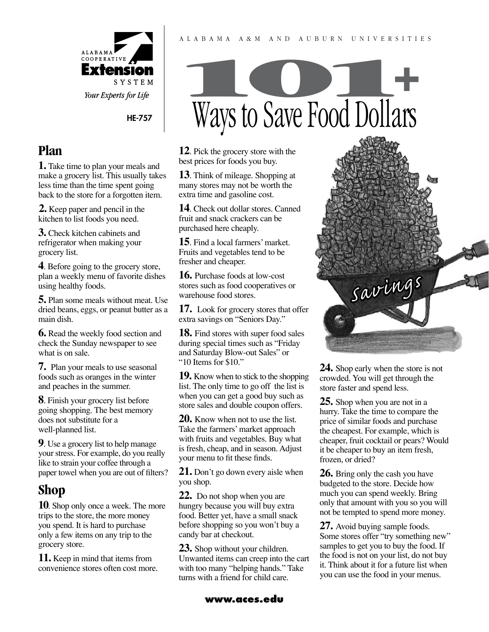

HE-757

## **Plan**

**1.** Take time to plan your meals and make a grocery list. This usually takes less time than the time spent going back to the store for a forgotten item.

**2.** Keep paper and pencil in the kitchen to list foods you need.

**3.** Check kitchen cabinets and refrigerator when making your grocery list.

**4**. Before going to the grocery store, plan a weekly menu of favorite dishes using healthy foods.

**5.** Plan some meals without meat. Use dried beans, eggs, or peanut butter as a main dish.

**6.** Read the weekly food section and check the Sunday newspaper to see what is on sale.

**7.** Plan your meals to use seasonal foods such as oranges in the winter and peaches in the summer.

**8**. Finish your grocery list before going shopping. The best memory does not substitute for a well-planned list.

**9**. Use a grocery list to help manage your stress. For example, do you really like to strain your coffee through a paper towel when you are out of filters?

# **Shop**

**10**. Shop only once a week. The more trips to the store, the more money you spend. It is hard to purchase only a few items on any trip to the grocery store.

**11.** Keep in mind that items from convenience stores often cost more.



A l a b a m a A & M a n d A u b u r n U n i v e r s i t i e s

**12**. Pick the grocery store with the best prices for foods you buy.

**13**. Think of mileage. Shopping at many stores may not be worth the extra time and gasoline cost.

**14**. Check out dollar stores. Canned fruit and snack crackers can be purchased here cheaply.

**15**. Find a local farmers' market. Fruits and vegetables tend to be fresher and cheaper.

**16.** Purchase foods at low-cost stores such as food cooperatives or warehouse food stores.

**17.** Look for grocery stores that offer extra savings on "Seniors Day."

**18.** Find stores with super food sales during special times such as "Friday and Saturday Blow-out Sales" or "10 Items for \$10."

**19.** Know when to stick to the shopping list. The only time to go off the list is when you can get a good buy such as store sales and double coupon offers.

**20.** Know when not to use the list. Take the farmers' market approach with fruits and vegetables. Buy what is fresh, cheap, and in season. Adjust your menu to fit these finds.

**21.** Don't go down every aisle when you shop.

**22.** Do not shop when you are hungry because you will buy extra food. Better yet, have a small snack before shopping so you won't buy a candy bar at checkout.

**23.** Shop without your children. Unwanted items can creep into the cart with too many "helping hands." Take turns with a friend for child care.



**24.** Shop early when the store is not crowded. You will get through the store faster and spend less.

**25.** Shop when you are not in a hurry. Take the time to compare the price of similar foods and purchase the cheapest. For example, which is cheaper, fruit cocktail or pears? Would it be cheaper to buy an item fresh, frozen, or dried?

**26.** Bring only the cash you have budgeted to the store. Decide how much you can spend weekly. Bring only that amount with you so you will not be tempted to spend more money.

**27.** Avoid buying sample foods. Some stores offer "try something new" samples to get you to buy the food. If the food is not on your list, do not buy it. Think about it for a future list when you can use the food in your menus.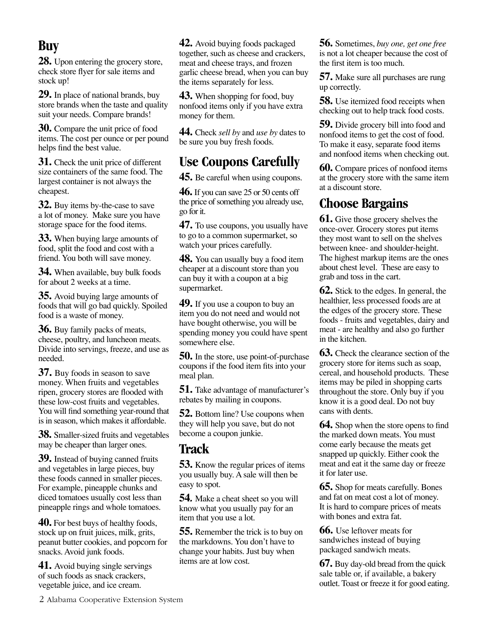## **Buy**

28. Upon entering the grocery store, check store flyer for sale items and stock up!

**29.** In place of national brands, buy store brands when the taste and quality suit your needs. Compare brands!

**30.** Compare the unit price of food items. The cost per ounce or per pound helps find the best value.

**31.** Check the unit price of different size containers of the same food. The largest container is not always the cheapest.

**32.** Buy items by-the-case to save a lot of money. Make sure you have storage space for the food items.

**33.** When buying large amounts of food, split the food and cost with a friend. You both will save money.

**34.** When available, buy bulk foods for about 2 weeks at a time.

**35.** Avoid buying large amounts of foods that will go bad quickly. Spoiled food is a waste of money.

**36.** Buy family packs of meats, cheese, poultry, and luncheon meats. Divide into servings, freeze, and use as needed.

**37.** Buy foods in season to save money. When fruits and vegetables ripen, grocery stores are flooded with these low-cost fruits and vegetables. You will find something year-round that is in season, which makes it affordable.

**38.** Smaller-sized fruits and vegetables may be cheaper than larger ones.

**39.** Instead of buying canned fruits and vegetables in large pieces, buy these foods canned in smaller pieces. For example, pineapple chunks and diced tomatoes usually cost less than pineapple rings and whole tomatoes.

**40.** For best buys of healthy foods, stock up on fruit juices, milk, grits, peanut butter cookies, and popcorn for snacks. Avoid junk foods.

**41.** Avoid buying single servings of such foods as snack crackers, vegetable juice, and ice cream.

**42.** Avoid buying foods packaged together, such as cheese and crackers, meat and cheese trays, and frozen garlic cheese bread, when you can buy the items separately for less.

**43.** When shopping for food, buy nonfood items only if you have extra money for them.

**44.** Check *sell by* and *use by* dates to be sure you buy fresh foods.

## **Use Coupons Carefully**

**45.** Be careful when using coupons.

**46.** If you can save 25 or 50 cents off the price of something you already use, go for it.

**47.** To use coupons, you usually have to go to a common supermarket, so watch your prices carefully.

**48.** You can usually buy a food item cheaper at a discount store than you can buy it with a coupon at a big supermarket.

**49.** If you use a coupon to buy an item you do not need and would not have bought otherwise, you will be spending money you could have spent somewhere else.

**50.** In the store, use point-of-purchase coupons if the food item fits into your meal plan.

**51.** Take advantage of manufacturer's rebates by mailing in coupons.

**52.** Bottom line? Use coupons when they will help you save, but do not become a coupon junkie.

#### **Track**

**53.** Know the regular prices of items you usually buy. A sale will then be easy to spot.

**54***.* Make a cheat sheet so you will know what you usually pay for an item that you use a lot.

**55.** Remember the trick is to buy on the markdowns. You don't have to change your habits. Just buy when items are at low cost.

**56.** Sometimes, *buy one, get one free* is not a lot cheaper because the cost of the first item is too much.

**57.** Make sure all purchases are rung up correctly.

**58.** Use itemized food receipts when checking out to help track food costs.

**59.** Divide grocery bill into food and nonfood items to get the cost of food. To make it easy, separate food items and nonfood items when checking out.

**60.** Compare prices of nonfood items at the grocery store with the same item at a discount store.

## **Choose Bargains**

**61.** Give those grocery shelves the once-over. Grocery stores put items they most want to sell on the shelves between knee- and shoulder-height. The highest markup items are the ones about chest level. These are easy to grab and toss in the cart.

**62.** Stick to the edges. In general, the healthier, less processed foods are at the edges of the grocery store. These foods - fruits and vegetables, dairy and meat - are healthy and also go further in the kitchen.

**63.** Check the clearance section of the grocery store for items such as soap, cereal, and household products. These items may be piled in shopping carts throughout the store. Only buy if you know it is a good deal. Do not buy cans with dents.

**64.** Shop when the store opens to find the marked down meats. You must come early because the meats get snapped up quickly. Either cook the meat and eat it the same day or freeze it for later use.

**65.** Shop for meats carefully. Bones and fat on meat cost a lot of money. It is hard to compare prices of meats with bones and extra fat.

**66.** Use leftover meats for sandwiches instead of buying packaged sandwich meats.

**67.** Buy day-old bread from the quick sale table or, if available, a bakery outlet. Toast or freeze it for good eating.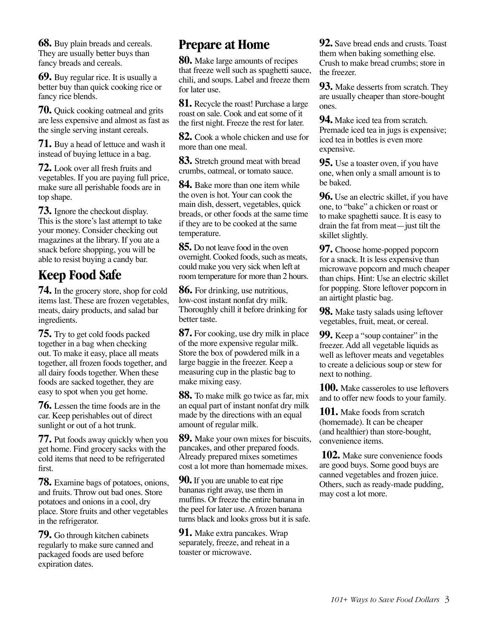**68.** Buy plain breads and cereals. They are usually better buys than fancy breads and cereals.

**69.** Buy regular rice. It is usually a better buy than quick cooking rice or fancy rice blends.

**70.** Quick cooking oatmeal and grits are less expensive and almost as fast as the single serving instant cereals.

**71.** Buy a head of lettuce and wash it instead of buying lettuce in a bag.

**72.** Look over all fresh fruits and vegetables. If you are paying full price, make sure all perishable foods are in top shape.

**73.** Ignore the checkout display. This is the store's last attempt to take your money. Consider checking out magazines at the library. If you ate a snack before shopping, you will be able to resist buying a candy bar.

# **Keep Food Safe**

**74.** In the grocery store, shop for cold items last. These are frozen vegetables, meats, dairy products, and salad bar ingredients.

**75.** Try to get cold foods packed together in a bag when checking out. To make it easy, place all meats together, all frozen foods together, and all dairy foods together. When these foods are sacked together, they are easy to spot when you get home.

**76.** Lessen the time foods are in the car. Keep perishables out of direct sunlight or out of a hot trunk.

**77.** Put foods away quickly when you get home. Find grocery sacks with the cold items that need to be refrigerated first.

**78.** Examine bags of potatoes, onions, and fruits. Throw out bad ones. Store potatoes and onions in a cool, dry place. Store fruits and other vegetables in the refrigerator.

**79.** Go through kitchen cabinets regularly to make sure canned and packaged foods are used before expiration dates.

#### **Prepare at Home**

**80.** Make large amounts of recipes that freeze well such as spaghetti sauce, chili, and soups. Label and freeze them for later use.

**81.** Recycle the roast! Purchase a large roast on sale. Cook and eat some of it the first night. Freeze the rest for later.

**82.** Cook a whole chicken and use for more than one meal.

**83.** Stretch ground meat with bread crumbs, oatmeal, or tomato sauce.

**84.** Bake more than one item while the oven is hot. Your can cook the main dish, dessert, vegetables, quick breads, or other foods at the same time if they are to be cooked at the same temperature.

**85.** Do not leave food in the oven overnight. Cooked foods, such as meats, could make you very sick when left at room temperature for more than 2 hours.

**86.** For drinking, use nutritious, low-cost instant nonfat dry milk. Thoroughly chill it before drinking for better taste.

**87.** For cooking, use dry milk in place of the more expensive regular milk. Store the box of powdered milk in a large baggie in the freezer. Keep a measuring cup in the plastic bag to make mixing easy.

**88.** To make milk go twice as far, mix an equal part of instant nonfat dry milk made by the directions with an equal amount of regular milk.

**89.** Make your own mixes for biscuits, pancakes, and other prepared foods. Already prepared mixes sometimes cost a lot more than homemade mixes.

**90.** If you are unable to eat ripe bananas right away, use them in muffins. Or freeze the entire banana in the peel for later use. A frozen banana turns black and looks gross but it is safe.

**91.** Make extra pancakes. Wrap separately, freeze, and reheat in a toaster or microwave.

**92.** Save bread ends and crusts. Toast them when baking something else. Crush to make bread crumbs; store in the freezer.

**93.** Make desserts from scratch. They are usually cheaper than store-bought ones.

**94.** Make iced tea from scratch. Premade iced tea in jugs is expensive; iced tea in bottles is even more expensive.

**95.** Use a toaster oven, if you have one, when only a small amount is to be baked.

**96.** Use an electric skillet, if you have one, to "bake" a chicken or roast or to make spaghetti sauce. It is easy to drain the fat from meat—just tilt the skillet slightly.

**97.** Choose home-popped popcorn for a snack. It is less expensive than microwave popcorn and much cheaper than chips. Hint: Use an electric skillet for popping. Store leftover popcorn in an airtight plastic bag.

**98.** Make tasty salads using leftover vegetables, fruit, meat, or cereal.

**99.** Keep a "soup container" in the freezer. Add all vegetable liquids as well as leftover meats and vegetables to create a delicious soup or stew for next to nothing.

**100.** Make casseroles to use leftovers and to offer new foods to your family.

**101.** Make foods from scratch (homemade). It can be cheaper (and healthier) than store-bought, convenience items.

**102.** Make sure convenience foods are good buys. Some good buys are canned vegetables and frozen juice. Others, such as ready-made pudding, may cost a lot more.